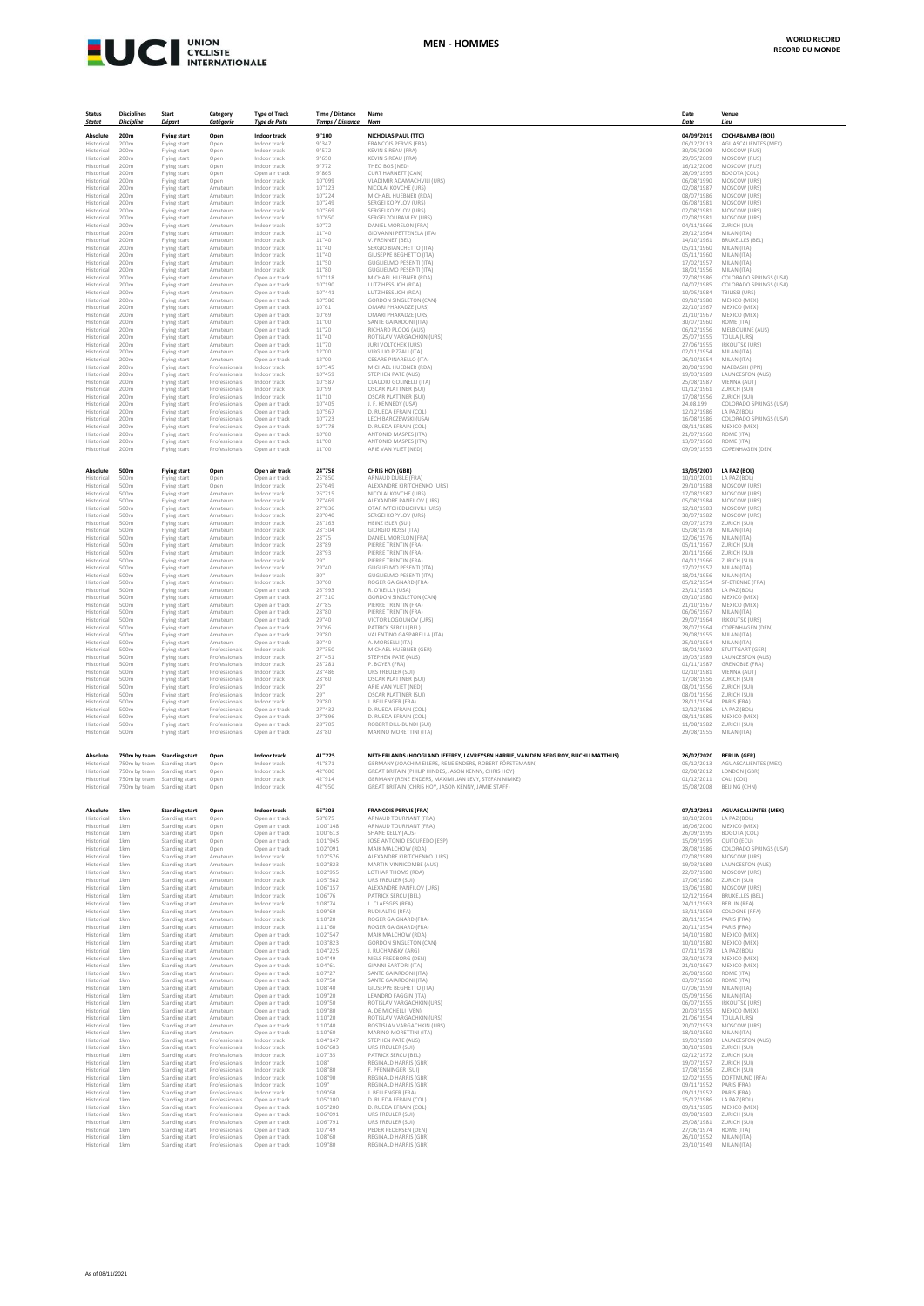

| <b>Status</b>                          | <b>Disciplines</b>          | Start                                        | Category                         | <b>Type of Track</b>                         | Time / Distance         | Name                                                                                | Date                                   | Venue                                          |
|----------------------------------------|-----------------------------|----------------------------------------------|----------------------------------|----------------------------------------------|-------------------------|-------------------------------------------------------------------------------------|----------------------------------------|------------------------------------------------|
| <b>Statut</b>                          | <b>Discipline</b>           | Départ                                       | Catégorie                        | <b>Type de Piste</b>                         | <b>Temps / Distance</b> | Nom                                                                                 | Date                                   | Lieu                                           |
| Absolute                               | 200m                        | <b>Flying start</b>                          | Open                             | Indoor track                                 | 9"100                   | NICHOLAS PAUL (TTO)                                                                 | 04/09/2019                             | COCHABAMBA (BOL)                               |
| Historical                             | 200m                        | Flying start                                 | Open                             | Indoor track                                 | 9"347                   | <b>FRANCOIS PERVIS (FRA)</b>                                                        | 06/12/2013                             | AGUASCALIENTES (MEX)                           |
| Historical                             | 200m                        | Flying start                                 | Open                             | Indoor track                                 | 9"572                   | <b>KEVIN SIREAU (FRA)</b>                                                           | 30/05/2009                             | MOSCOW (RUS)                                   |
| Historical                             | 200m                        | Flying start                                 | Open                             | Indoor track                                 | 9"650                   | KEVIN SIREAU (FRA)                                                                  | 29/05/2009                             | MOSCOW (RUS)                                   |
| Historical                             | 200m                        | Flying start                                 | Open                             | Indoor track                                 | 9"772                   | THEO BOS (NED)                                                                      | 16/12/2006                             | MOSCOW (RUS)                                   |
| Historical                             | 200m                        | Flying start                                 | Open                             | Open air track                               | 9"865                   | CURT HARNETT (CAN)                                                                  | 28/09/1995                             | BOGOTA (COL)                                   |
| Historical                             | 200m                        | Flying start                                 | Open                             | Indoor track                                 | 10"099                  | VLADIMIR ADAMACHVILI (URS)                                                          | 06/08/1990                             | MOSCOW (URS)                                   |
| Historical                             | 200m                        | Flying start                                 | Amateurs                         | Indoor track                                 | 10"123                  | NICOLALKOVCHE (URS)                                                                 | 02/08/1987                             | MOSCOW (URS)                                   |
| Historical                             | 200m                        | Flying start                                 | Amateurs                         | Indoor track                                 | 10"224                  | MICHAEL HUEBNER (RDA)                                                               | 08/07/1986                             | MOSCOW (URS)                                   |
| Historical                             | 200m                        | Flying start                                 | Amateurs                         | Indoor track                                 | 10"249                  | SERGEI KOPYLOV (URS)                                                                | 06/08/1981                             | MOSCOW (URS)                                   |
| Historical                             | 200m                        | Flying start                                 | Amateurs                         | Indoor track                                 | 10"369                  | SERGEI KOPYLOV (URS)                                                                | 02/08/1981                             | MOSCOW (URS)                                   |
| Historical                             | 200m                        | Flying start                                 | Amateurs                         | Indoor track                                 | 10"650                  | SERGEI ZOURAVLEV (URS)                                                              | 02/08/1981                             | MOSCOW (URS)                                   |
| Historical                             | 200m                        | Flying start                                 | Amateurs                         | Indoor track                                 | 10"72                   | DANIEL MORELON (FRA)                                                                | 04/11/1966                             | ZURICH (SUI)                                   |
| Historical                             | 200m                        | Flying start                                 | Amateurs                         | Indoor track                                 | 11"40                   | GIOVANNI PETTENELA (ITA)                                                            | 29/12/1964                             | MILAN (ITA)                                    |
| Historical                             | 200m                        | Flying start                                 | Amateurs                         | Indoor track                                 | 11"40                   | V. FRENNET (BEL)                                                                    | 14/10/1961                             | <b>BRUXELLES (BEL)</b>                         |
| Historical                             | 200m                        | Flying start                                 | Amateurs                         | Indoor track                                 | 11"40                   | SERGIO BIANCHETTO (ITA)                                                             | 05/11/1960                             | MILAN (ITA)                                    |
| Historical                             | 200m                        | Flying start                                 | Amateurs                         | Indoor track                                 | 11"40                   | GIUSEPPE BEGHETTO (ITA)                                                             | 05/11/1960                             | MILAN (ITA)                                    |
| Historical                             | 200m                        | Flying start                                 | Amateurs                         | Indoor track                                 | 11"50                   | GUGLIELMO PESENTI (ITA)                                                             | 17/02/1957                             | MILAN (ITA)                                    |
| Historical                             | 200m                        | Flying start                                 | Amateurs                         | Indoor track                                 | 11"80                   | <b>GUGLIELMO PESENTI (ITA)</b>                                                      | 18/01/1956                             | MILAN (ITA)                                    |
| Historical                             | 200m                        | Flying start                                 | Amateurs                         | Open air track                               | 10"118                  | MICHAEL HUEBNER (RDA)                                                               | 27/08/1986                             | COLORADO SPRINGS (USA)                         |
| Historical                             | 200m                        | Flying start                                 | Amateurs                         | Open air track                               | 10"190                  | LUTZ HESSLICH (RDA)                                                                 | 04/07/1985                             | COLORADO SPRINGS (USA)                         |
| Historical                             | 200m                        | Flying start                                 | Amateurs                         | Open air track                               | 10"441                  | LUTZ HESSLICH (RDA)                                                                 | 10/05/1984                             | <b>TBILISSI (URS)</b>                          |
| Historical                             | 200m                        | Flying start                                 | Amateurs                         | Open air track                               | 10"580                  | <b>GORDON SINGLETON (CAN)</b>                                                       | 09/10/1980                             | MEXICO (MEX)                                   |
| Historical                             | 200m                        | Flying start                                 | Amateurs                         | Open air track                               | 10"61                   | OMARI PHAKADZE (URS)                                                                | 22/10/1967                             | MEXICO (MEX)                                   |
| Historical                             | 200m                        | Flying start                                 | Amateurs                         | Open air track                               | 10"69                   | OMARI PHAKADZE (URS)                                                                | 21/10/1967                             | MEXICO (MEX)                                   |
| Historical                             | 200m                        | Flying start                                 | Amateurs                         | Open air track                               | 11"00                   | SANTE GAIARDONI (ITA)                                                               | 30/07/1960                             | ROME (ITA)                                     |
| Historical                             | 200m                        | Flying start                                 | Amateurs                         | Open air track                               | 11"20                   | RICHARD PLOOG (AUS)                                                                 | 06/12/1956                             | MELBOURNE (AUS)                                |
| Historical                             | 200m                        | Flying start                                 | Amateurs                         | Open air track                               | 11"40                   | ROTISLAV VARGACHKIN (URS)                                                           | 25/07/1955                             | <b>TOULA (URS)</b>                             |
| Historical                             | 200m                        | Flying start                                 | Amateurs                         | Open air track                               | 11"70                   | JURI VOLTCHEK (URS)                                                                 | 27/06/1955                             | <b>IRKOUTSK (URS)</b>                          |
| Historical                             | 200m                        | Flying start                                 | Amateurs                         | Open air track                               | 12"00                   | VIRGILIO PIZZALI (ITA)                                                              | 02/11/1954                             | MILAN (ITA)                                    |
| Historical                             | 200m                        | Flying start                                 | Amateurs                         | Open air track                               | 12"00                   | CESARE PINARELLO (ITA)                                                              | 26/10/1954                             | MILAN (ITA)                                    |
| Historical                             | 200m                        | Flying start                                 | Professionals                    | Indoor track                                 | 10"345                  | MICHAEL HUEBNER (RDA)                                                               | 20/08/1990                             | MAEBASHI (JPN)                                 |
| Historical                             | 200m                        | Flying start                                 | Professionals                    | Indoor track                                 | 10"459                  | STEPHEN PATE (AUS)                                                                  | 19/03/1989                             | <b>LAUNCESTON (AUS)</b>                        |
| Historical                             | 200m                        | Flying start                                 | Professionals                    | Indoor track                                 | 10"587                  | CLAUDIO GOLINELLI (ITA)                                                             | 25/08/1987                             | VIENNA (AUT)                                   |
| Historical                             | 200m                        | Flying start                                 | Professionals                    | Indoor track                                 | 10"99                   | OSCAR PLATTNER (SUI)                                                                | 01/12/1961                             | ZURICH (SUI)                                   |
| Historical                             | 200m                        | Flying start                                 | Professionals                    | Indoor track                                 | 11"10                   | <b>OSCAR PLATTNER (SUI)</b>                                                         | 17/08/1956                             | ZURICH (SUI)                                   |
| Historical                             | 200m                        | Flying start                                 | Professionals                    | Open air track                               | 10"405                  | J. F. KENNEDY (USA)                                                                 | 24.08.199                              | COLORADO SPRINGS (USA)                         |
| Historical                             | 200m                        | Flying start                                 | Professionals                    | Open air track                               | 10"567                  | D. RUEDA EFRAIN (COL)                                                               | 12/12/1986                             | LA PAZ (BOL)                                   |
| Historical                             | 200m                        | Flying start                                 | Professionals                    | Open air track                               | 10"723                  | LECH BARCZEWSKI (USA                                                                | 16/08/1986                             | COLORADO SPRINGS (USA)                         |
| Historical                             | 200m                        | Flying start                                 | Professionals                    | Open air track                               | 10"778                  | D. RUEDA EFRAIN (COL)                                                               | 08/11/1985                             | MEXICO (MEX)                                   |
| Historical                             | 200m                        | Flying start                                 | Professionals                    | Open air track                               | 10"80                   | ANTONIO MASPES (ITA)                                                                | 21/07/1960                             | ROME (ITA)                                     |
| Historical                             | 200m                        | Flying start                                 | Professionals                    | Open air track                               | 11"00                   | ANTONIO MASPES (ITA)                                                                | 13/07/1960                             | ROME (ITA)                                     |
| Historical                             | 200m                        |                                              | Professionals                    | Open air track                               | 11"00                   | ARIE VAN VLIET (NED)                                                                | 09/09/1955                             | COPENHAGEN (DEN)                               |
|                                        |                             | Flying start                                 |                                  |                                              |                         |                                                                                     |                                        |                                                |
| <b>Absolute</b>                        | 500m                        | <b>Flying start</b>                          | Open                             | Open air track                               | 24"758                  | CHRIS HOY (GBR)                                                                     | 13/05/2007                             | LA PAZ (BOL)                                   |
| Historical                             | 500m                        | Flying start                                 | Open                             | Open air track                               | 25"850                  | ARNAUD DUBLE (FRA)                                                                  | 10/10/2001                             | LA PAZ (BOL)                                   |
| Historical                             | 500m                        | Flying start                                 | Open                             | Indoor track                                 | 26"649                  | ALEXANDRE KIRITCHENKO (URS)                                                         | 29/10/1988                             | MOSCOW (URS)                                   |
| Historical                             | 500m                        | Flying start                                 | Amateurs                         | Indoor track                                 | 26"715                  | NICOLAI KOVCHE (URS)                                                                | 17/08/1987                             | MOSCOW (URS)                                   |
| Historical                             | 500m                        | Flying start                                 | Amateurs                         | Indoor track                                 | 27"469                  | ALEXANDRE PANFILOV (URS)                                                            | 05/08/1984                             | MOSCOW (URS)                                   |
| Historical                             | 500m                        | Flying start                                 | Amateurs                         | Indoor track                                 | 27"836                  | OTAR MTCHEDLICHVILI (URS)                                                           | 12/10/1983                             | MOSCOW (URS)                                   |
| Historical                             | 500m                        | Flying start                                 | Amateurs                         | Indoor track                                 | 28"040                  | SERGEI KOPYLOV (URS)                                                                | 30/07/1982                             | MOSCOW (URS)                                   |
| Historical                             | 500m                        | Flying start                                 | Amateurs                         | Indoor track                                 | 28"163                  | HEINZ ISLER (SUII)                                                                  | 09/07/1979                             | <b>ZURICH (SUI)</b>                            |
| Historical                             | 500m                        | Flying start                                 | Amateurs                         | Indoor track                                 | 28"304                  | GIORGIO ROSSI (ITA)                                                                 | 05/08/1978                             | MILAN (ITA)                                    |
| Historical                             | 500m                        |                                              | Amateurs                         | Indoor track                                 | 28"75                   | DANIEL MORELON (FRA)                                                                | 12/06/1976                             | MILAN (ITA)                                    |
| Historical<br>Historical               | 500m<br>500m                | Flying start<br>Flying start<br>Flying start | Amateurs<br>Amateurs             | Indoor track<br>Indoor track                 | 28"89<br>28"93          | PIERRE TRENTIN (FRA)<br>PIERRE TRENTIN (FRA)                                        | 05/11/1967<br>20/11/1966               | ZURICH (SUI)<br>ZURICH (SUI)                   |
| Historical                             | 500m<br>500m                | Flying start                                 | Amateurs                         | Indoor track                                 | 29"<br>29"40            | PIERRE TRENTIN (FRA)<br><b>GUGLIELMO PESENTI (ITA)</b>                              | 04/11/1966                             | ZURICH (SUI)                                   |
| Historical<br>Historical<br>Historical | 500m<br>500m                | Flying start<br>Flying start                 | Amateurs<br>Amateurs<br>Amateurs | Indoor track<br>Indoor track<br>Indoor track | 30"<br>30"60            | <b>GUGLIELMO PESENTI (ITA)</b><br>ROGER GAIGNARD (FRA)                              | 17/02/1957<br>18/01/1956<br>05/12/1954 | MILAN (ITA)<br>MILAN (ITA)<br>ST-ETIENNE (FRA) |
| Historical                             | 500m                        | Flying start<br>Flying start                 | Amateurs                         | Open air track                               | 26"993                  | R. O'REILLY (USA)                                                                   | 23/11/1985                             | LA PAZ (BOL)                                   |
| Historical                             | 500m                        | Flying start                                 | Amateurs                         | Open air track                               | 27"310                  | <b>GORDON SINGLETON (CAN)</b>                                                       | 09/10/1980                             | MEXICO (MEX)                                   |
| Historical                             | 500m                        | Flying start                                 | Amateurs                         | Open air track                               | 27"85                   | PIERRE TRENTIN (FRA)                                                                | 21/10/1967                             | MEXICO (MEX)                                   |
| Historical                             | 500m                        | Flying start                                 | Amateurs                         | Open air track                               | 28"80                   | PIERRE TRENTIN (FRA)                                                                | 06/06/1967                             | MILAN (ITA)                                    |
| Historical                             | 500m                        | Flying start                                 | Amateurs                         | Open air track                               | 29"40                   | VICTOR LOGOUNOV (URS)                                                               | 29/07/1964                             | <b>IRKOUTSK (URS)</b>                          |
| Historical                             | 500m                        | Flying start                                 | Amateurs                         | Open air track                               | 29"66                   | PATRICK SERCU (BEL)                                                                 | 28/07/1964                             | COPENHAGEN (DEN)                               |
| Historical                             | 500m                        | Flying start                                 | Amateurs                         | Open air track                               | 29"80                   | VALENTINO GASPARELLA (ITA)                                                          | 29/08/1955                             | MILAN (ITA)                                    |
| Historical                             | 500m                        | Flying start                                 | Amateurs                         | Open air track                               | 30"40                   | A. MORSELLI (ITA)                                                                   | 25/10/1954                             | MILAN (ITA)                                    |
| Historical                             | 500m                        | Flying start                                 | Professionals                    | Indoor track                                 | 27"350                  | MICHAEL HUEBNER (GER)                                                               | 18/01/1992                             | STUTTGART (GER)                                |
| Historical                             | 500m                        | Flying start                                 | Professionals                    | Indoor track                                 | 27"451                  | STEPHEN PATE (AUS)                                                                  | 19/03/1989                             | LAUNCESTON (AUS)                               |
| Historical                             | 500m                        | Flying start                                 | Professionals                    | Indoor track                                 | 28"281                  | P. BOYER (FRA)                                                                      | 01/11/1987                             | GRENOBLE (FRA)                                 |
| Historical                             | 500m                        | Flying start                                 | Professionals                    | Indoor track                                 | 28"486                  | URS FREULER (SUI)                                                                   | 02/10/1981                             | VIENNA (AUT)                                   |
| Historical                             | 500m                        | Flying start                                 | Professionals                    | Indoor track                                 | 28"60                   | OSCAR PLATTNER (SUI)                                                                | 17/08/1956                             | ZURICH (SUI)                                   |
| Historical                             | 500m                        | Flying start                                 | Professionals                    | Indoor track                                 | 29"                     | ARIE VAN VLIET (NED)                                                                | 08/01/1956                             | ZURICH (SUI)                                   |
| Historical                             | 500m                        | Flying start                                 | Professionals                    | Indoor track                                 | 29"                     | <b>OSCAR PLATTNER (SUI)</b>                                                         | 08/01/1956                             | ZURICH (SUI)                                   |
| Historical                             | 500m                        | Flying start                                 | Professionals                    | Indoor track                                 | 29"80                   | J. BELLENGER (FRA)                                                                  | 28/11/1954                             | PARIS (FRA)                                    |
| Historical                             | 500m                        | Flying start                                 | Professionals                    | Open air track                               | 27"432                  | D. RUEDA EFRAIN (COL)                                                               | 12/12/1986                             | LA PAZ (ROL)                                   |
| Historical                             | 500m                        | Flying start                                 | Professionals                    | Open air track                               | 27"896                  | D. RUEDA EFRAIN (COL)                                                               | 08/11/1985                             | MEXICO (MEX)                                   |
| Historical                             | 500m                        | Flying start                                 | Professionals                    | Open air track                               | 28"705                  | ROBERT DILL-BUNDI (SUI)                                                             | 11/08/1982                             | ZURICH (SUI)                                   |
| Historical                             | 500m                        | Flying start                                 | Professionals                    | Open air track                               | 28"80                   | MARINO MORETTINI (ITA)                                                              | 29/08/1955                             | MILAN (ITA)                                    |
| Absolute                               | 750m by team Standing start |                                              | Open                             | Indoor track                                 | 41"225                  | NETHERLANDS (HOOGLAND JEFFREY, LAVREYSEN HARRIE, VAN DEN BERG ROY, BUCHLI MATTHIJS) | 26/02/2020                             | <b>BERLIN</b> (GER)                            |
| Historical                             | 750m by team Standing start |                                              | Open                             | Indoor track                                 | 41"871                  | GERMANY (JOACHIM EILERS, RENE ENDERS, ROBERT FÖRSTEMANN)                            | 05/12/2013                             | AGUASCALIENTES (MEX)                           |
| Historical                             | 750m by team Standing start |                                              | Open                             | Indoor track                                 | 42"600                  | GREAT BRITAIN (PHILIP HINDES, JASON KENNY, CHRIS HOY)                               | 02/08/2012                             | LONDON (GBR)                                   |
| Historical                             | 750m by team Standing start |                                              | Open                             | Indoor track                                 | 42"914                  | GERMANY (RENE ENDERS, MAXIMILIAN LEVY, STEFAN NIMKE)                                | 01/12/2011                             | CALI (COL)                                     |
| Historical                             | 750m by team Standing start |                                              | Open                             | Indoor track                                 | 42"950                  | GREAT BRITAIN (CHRIS HOY, JASON KENNY, JAMIE STAFF)                                 | 15/08/2008                             | BEIJING (CHN)                                  |
|                                        |                             |                                              |                                  |                                              |                         |                                                                                     |                                        |                                                |
| <b>Absolute</b>                        | 1 <sub>km</sub>             | <b>Standing start</b>                        | Open                             | Indoor track                                 | 56"303                  | <b>FRANCOIS PERVIS (FRA)</b>                                                        | 07/12/2013                             | <b>AGUASCALIENTES (MEX)</b>                    |
| Historical                             | 1km                         | Standing start                               | Open                             | Open air track                               | 58"875                  | ARNAUD TOURNANT (FRA)                                                               | 10/10/2001                             | LA PAZ (BOL)                                   |
| Historical                             | 1km                         | Standing start                               | Open                             | Open air track                               | 1'00"148                | ARNAUD TOURNANT (FRA)                                                               | 16/06/2000                             | MEXICO (MEX)                                   |
| Historical                             | 1km                         | Standing start                               | Open                             | Open air track                               | 1'00"613                | SHANE KELLY (AUS)                                                                   | 26/09/1995                             | BOGOTA (COL)                                   |
| Historical                             | 1km                         | Standing start                               | Open                             | Open air track                               | 1'01"945                | JOSE ANTONIO ESCUREDO (ESP)                                                         | 15/09/1995                             | QUITO (ECU)                                    |
| Historical                             | 1km                         | Standing start                               | Open                             | Open air track                               | 1'02"091                | MAIK MALCHOW (RDA)                                                                  | 28/08/1986                             | COLORADO SPRINGS (USA)                         |
| Historical                             | 1km                         | Standing start                               | Amateurs                         | Indoor track                                 | 1'02"576                | ALEXANDRE KIRITCHENKO (URS)                                                         | 02/08/1989                             | MOSCOW (URS)                                   |
| Historical                             | 1km                         | Standing start                               | Amateurs                         | Indoor track                                 | 1'02"823                | MARTIN VINNICOMBE (AUS)                                                             | 19/03/1989                             | <b>LAUNCESTON (AUS)</b>                        |
| Historical                             | 1km                         | Standing start                               | Amateurs                         | Indoor track                                 | 1'02"955                | LOTHAR THOMS (RDA)                                                                  | 22/07/1980                             | MOSCOW (URS)                                   |
| Historical                             | 1km                         | Standing start                               | Amateurs                         | Indoor track                                 | 1'05"582                | URS FREULER (SUI)                                                                   | 17/06/1980                             | ZURICH (SUI)                                   |
| Historical                             | 1 <sub>km</sub>             | Standing start                               | Amateurs                         | Indoor track                                 | 1'06"157                | ALEXANDRE PANELLOV (URS)                                                            | 13/06/1980                             | MOSCOW (URS)                                   |
| Historical                             | 1 <sub>km</sub>             | Standing start                               | Amateurs                         | Indoor track                                 | 1'06"76                 | PATRICK SERCU (BEL)                                                                 | 12/12/1964                             | <b>BRUXELLES (BEL)</b>                         |
| Historical                             | 1km                         | Standing start                               | Amateurs                         | Indoor track                                 | 1'08''74                | L. CLAESGES (RFA)                                                                   | 24/11/1963                             | <b>BERLIN (REA)</b>                            |
| Historical                             | 1km                         | Standing start                               | Amateurs                         | Indoor track                                 | 1'09"60                 | <b>RUDI ALTIG (RFA)</b>                                                             | 13/11/1959                             | COLOGNE (RFA)                                  |
| Historical                             | 1km                         | Standing start                               | Amateurs                         | Indoor track                                 | 1'10"20                 | ROGER GAIGNARD (FRA)                                                                | 28/11/1954                             | PARIS (FRA)                                    |
| Historical                             | 1km                         | Standing start                               | Amateurs                         | Indoor track                                 | 1'11''60                | ROGER GAIGNARD (FRA)                                                                | 20/11/1954                             | PARIS (FRA)                                    |
| Historical                             | 1km                         | Standing start                               | Amateurs                         | Open air track                               | 1'02"547                | MAIK MALCHOW (RDA)                                                                  | 14/10/1980                             | MEXICO (MEX)                                   |
| Historical                             | 1km                         | Standing start                               | Amateurs                         | Open air track                               | 1'03"823                | <b>GORDON SINGLETON (CAN)</b>                                                       | 10/10/1980                             | MEXICO (MEX)                                   |
| Historical                             | 1km                         | Standing start                               | Amateurs                         | Open air track                               | 1'04"225                | J. RUCHANSKY (ARG)                                                                  | 07/11/1978                             | LA PAZ (BOL)                                   |
| Historical                             | 1km                         | Standing start                               | Amateurs                         | Open air track                               | 1'04"49                 | NIELS EREDRORG (DEN)                                                                | 23/10/1973                             | MEXICO (MEX)                                   |
| Historical                             | 1km                         | Standing start                               | Amateurs                         | Open air track                               | 1'04"61                 | GIANNI SARTORI (ITA)                                                                | 21/10/1967                             | MEXICO (MEX)                                   |
| Historical                             | 1km                         | Standing start                               | Amateurs                         | Open air track                               | 1'07''27                | SANTE GAIARDONI (ITA)                                                               | 26/08/1960                             | ROME (ITA)                                     |
| Historical                             | 1km                         | Standing start                               | Amateurs                         | Open air track                               | 1'07"50                 | SANTE GAIARDONI (ITA)                                                               | 03/07/1960                             | ROME (ITA)                                     |
| Historical                             | 1km                         | Standing start                               | Amateurs                         | Open air track                               | 1'08''40                | GIUSEPPE BEGHETTO (ITA)                                                             | 07/06/1959                             | MILAN (ITA)                                    |
| Historical                             | 1km                         | Standing start                               | Amateurs                         | Open air track                               | 1'09"20                 | <b>I FANDRO FAGGIN (ITA)</b>                                                        | 05/09/1956                             | MILAN (ITA)                                    |
| Historical                             | 1km                         | Standing start                               | Amateurs                         | Open air track                               | 1'09"50                 | ROTISLAV VARGACHKIN (URS)                                                           | 06/07/1955                             | <b>IRKOUTSK (URS)</b>                          |
| Historical                             | 1km                         | Standing start                               | Amateurs                         | Open air track                               | 1'09"80                 | A. DE MICHELLI (VEN)                                                                | 20/03/1955                             | MEXICO (MEX)                                   |
| Historical                             | 1km                         | Standing start                               | Amateurs                         | Open air track                               | 1'10''20                | ROTISLAV VARGACHKIN (URS)                                                           | 21/06/1954                             | TOULA (URS)                                    |
| Historical                             | 1km                         | Standing start                               | Amateurs                         | Open air track                               | 1'10''40                | ROSTISLAV VARGACHKIN (URS)                                                          | 20/07/1953                             | MOSCOW (URS)                                   |
| Historical                             | 1km                         | Standing start                               | Amateurs                         | Open air track                               | 1'10"60                 | MARINO MORETTINI (ITA)                                                              | 18/10/1950                             | MILAN (ITA)                                    |
| Historical                             | 1km                         | Standing start                               | Professionals                    | Indoor track                                 | 1'04"147                | STEPHEN PATE (AUS)                                                                  | 19/03/1989                             | LAUNCESTON (AUS)                               |
| Historical                             | 1km                         | Standing start                               | Professionals                    | Indoor track                                 | 1'06"603                | URS FREULER (SUI)                                                                   | 30/10/1981                             | ZURICH (SUI)                                   |
| Historical                             | 1km                         | Standing start                               | Professionals                    | Indoor track                                 | 1'07''35                | PATRICK SERCU (BEL)                                                                 | 02/12/1972                             | ZURICH (SUI)                                   |
| Historical                             | 1km                         | Standing start                               | Professionals                    | Indoor track                                 | 1'08"                   | REGINALD HARRIS (GBR)                                                               | 19/07/1957                             | ZURICH (SUI)                                   |
| Historical                             | 1km                         | Standing start                               | Professionals                    | Indoor track                                 | 1'08"80                 | F. PFENNINGER (SUI)                                                                 | 17/08/1956                             | ZURICH (SUI)                                   |
| Historical                             | 1km                         | Standing start                               | Professionals                    | Indoor track                                 | 1'08"90                 | REGINALD HARRIS (GBR)                                                               | 12/02/1955                             | DORTMUND (RFA)                                 |
| Historical                             | 1km                         | Standing start                               | Professionals                    | Indoor track                                 | 1'09"                   | REGINALD HARRIS (GBR)                                                               | 09/11/1952                             | PARIS (FRA)                                    |
| Historical                             | 1km                         | Standing start                               | Professionals                    | Indoor track                                 | 1'09"60                 | J. BELLENGER (FRA)                                                                  | 09/11/1952                             | PARIS (FRA)                                    |
| Historical                             | 1km                         | Standing start                               | Professionals                    | Open air track                               | 1'05"100                | D. RUEDA EFRAIN (COL)                                                               | 15/12/1986                             | LA PAZ (BOL)                                   |
| Historical                             | 1km                         | Standing start                               | Professionals                    | Open air track                               | 1'05"200                | D. RUEDA EFRAIN (COL)                                                               | 09/11/1985                             | MEXICO (MEX)                                   |
| Historical                             | 1km                         | Standing start                               | Professionals                    | Open air track                               | 1'06"091                | URS FREULER (SUI)                                                                   | 09/08/1983                             | ZURICH (SUI)                                   |
| Historical                             | 1km                         | Standing start                               | Professionals                    | Open air track                               | 1'06"791                | URS FREULER (SUI)                                                                   | 25/08/1981                             | ZURICH (SUI)                                   |
| Historical                             | 1km                         | Standing start                               | Professionals                    | Open air track                               | 1'07''49                | PEDER PEDERSEN (DEN)                                                                | 27/06/1974                             | ROME (ITA)                                     |
| Historical                             | 1 <sub>km</sub>             | Standing start                               | Professionals                    | Open air track                               | 1'08"60                 | REGINALD HARRIS (GBR)                                                               | 26/10/1952                             | MILAN (ITA)                                    |
| Historical                             | 1 <sub>km</sub>             | Standing start                               | Professionals                    | Open air track                               | 1'09"80                 | REGINALD HARRIS (GBR)                                                               | 23/10/1949                             | MILAN (ITA)                                    |